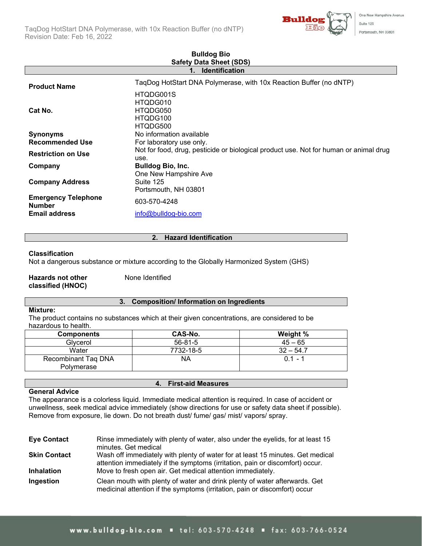

| <b>Safety Data Sheet (SDS)</b>              |                                                                                                                           |  |
|---------------------------------------------|---------------------------------------------------------------------------------------------------------------------------|--|
| <b>Identification</b>                       |                                                                                                                           |  |
| <b>Product Name</b>                         | TaqDog HotStart DNA Polymerase, with 10x Reaction Buffer (no dNTP)                                                        |  |
| Cat No.                                     | HTQDG001S<br>HTQDG010<br>HTQDG050<br>HTQDG100                                                                             |  |
| <b>Synonyms</b><br><b>Recommended Use</b>   | HTQDG500<br>No information available                                                                                      |  |
| <b>Restriction on Use</b>                   | For laboratory use only.<br>Not for food, drug, pesticide or biological product use. Not for human or animal drug<br>use. |  |
| Company                                     | <b>Bulldog Bio, Inc.</b><br>One New Hampshire Ave                                                                         |  |
| <b>Company Address</b>                      | Suite 125<br>Portsmouth, NH 03801                                                                                         |  |
| <b>Emergency Telephone</b><br><b>Number</b> | 603-570-4248                                                                                                              |  |
| <b>Email address</b>                        | info@bulldog-bio.com                                                                                                      |  |

# **Bulldog Bio**

#### **2. Hazard Identification**

#### **Classification**

Not a dangerous substance or mixture according to the Globally Harmonized System (GHS)

#### **Hazards not other classified (HNOC)** None Identified

#### **3. Composition/ Information on Ingredients**

#### **Mixture:**

The product contains no substances which at their given concentrations, are considered to be hazardous to health.

| <b>Components</b>                 | CAS-No.       | Weight %    |
|-----------------------------------|---------------|-------------|
| Glvcerol                          | $56 - 81 - 5$ | $45 - 65$   |
| Water                             | 7732-18-5     | $32 - 54.7$ |
| Recombinant Taq DNA<br>Polymerase | NA            | $01 - 1$    |

#### **General Advice**

The appearance is a colorless liquid. Immediate medical attention is required. In case of accident or unwellness, seek medical advice immediately (show directions for use or safety data sheet if possible). Remove from exposure, lie down. Do not breath dust/ fume/ gas/ mist/ vapors/ spray.

**4. First-aid Measures**

| <b>Eye Contact</b>  | Rinse immediately with plenty of water, also under the eyelids, for at least 15                                                                                 |
|---------------------|-----------------------------------------------------------------------------------------------------------------------------------------------------------------|
|                     | minutes. Get medical                                                                                                                                            |
| <b>Skin Contact</b> | Wash off immediately with plenty of water for at least 15 minutes. Get medical<br>attention immediately if the symptoms (irritation, pain or discomfort) occur. |
| <b>Inhalation</b>   | Move to fresh open air. Get medical attention immediately.                                                                                                      |
| Ingestion           | Clean mouth with plenty of water and drink plenty of water afterwards. Get<br>medicinal attention if the symptoms (irritation, pain or discomfort) occur        |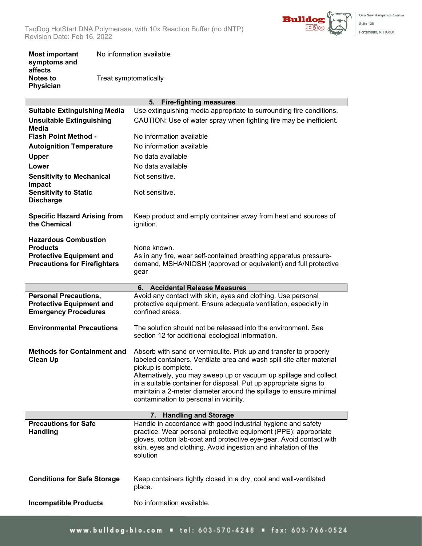

| <b>Most important</b><br>symptoms and          | No information available |
|------------------------------------------------|--------------------------|
| affects<br><b>Notes to</b><br><b>Physician</b> | Treat symptomatically    |

| 5. Fire-fighting measures                                                                                                |                                                                                                                                                                                                                                                                                                                                                                                                                            |  |
|--------------------------------------------------------------------------------------------------------------------------|----------------------------------------------------------------------------------------------------------------------------------------------------------------------------------------------------------------------------------------------------------------------------------------------------------------------------------------------------------------------------------------------------------------------------|--|
| <b>Suitable Extinguishing Media</b>                                                                                      | Use extinguishing media appropriate to surrounding fire conditions.                                                                                                                                                                                                                                                                                                                                                        |  |
| <b>Unsuitable Extinguishing</b><br>Media                                                                                 | CAUTION: Use of water spray when fighting fire may be inefficient.                                                                                                                                                                                                                                                                                                                                                         |  |
| <b>Flash Point Method -</b>                                                                                              | No information available                                                                                                                                                                                                                                                                                                                                                                                                   |  |
| <b>Autoignition Temperature</b>                                                                                          | No information available                                                                                                                                                                                                                                                                                                                                                                                                   |  |
| <b>Upper</b>                                                                                                             | No data available                                                                                                                                                                                                                                                                                                                                                                                                          |  |
| Lower                                                                                                                    | No data available                                                                                                                                                                                                                                                                                                                                                                                                          |  |
| <b>Sensitivity to Mechanical</b>                                                                                         | Not sensitive.                                                                                                                                                                                                                                                                                                                                                                                                             |  |
| Impact<br><b>Sensitivity to Static</b><br><b>Discharge</b>                                                               | Not sensitive.                                                                                                                                                                                                                                                                                                                                                                                                             |  |
| <b>Specific Hazard Arising from</b><br>the Chemical                                                                      | Keep product and empty container away from heat and sources of<br>ignition.                                                                                                                                                                                                                                                                                                                                                |  |
| <b>Hazardous Combustion</b><br><b>Products</b><br><b>Protective Equipment and</b><br><b>Precautions for Firefighters</b> | None known.<br>As in any fire, wear self-contained breathing apparatus pressure-<br>demand, MSHA/NIOSH (approved or equivalent) and full protective<br>gear                                                                                                                                                                                                                                                                |  |
|                                                                                                                          | <b>Accidental Release Measures</b><br>6.                                                                                                                                                                                                                                                                                                                                                                                   |  |
| <b>Personal Precautions,</b><br><b>Protective Equipment and</b><br><b>Emergency Procedures</b>                           | Avoid any contact with skin, eyes and clothing. Use personal<br>protective equipment. Ensure adequate ventilation, especially in<br>confined areas.                                                                                                                                                                                                                                                                        |  |
| <b>Environmental Precautions</b>                                                                                         | The solution should not be released into the environment. See<br>section 12 for additional ecological information.                                                                                                                                                                                                                                                                                                         |  |
| <b>Methods for Containment and</b><br><b>Clean Up</b>                                                                    | Absorb with sand or vermiculite. Pick up and transfer to properly<br>labeled containers. Ventilate area and wash spill site after material<br>pickup is complete.<br>Alternatively, you may sweep up or vacuum up spillage and collect<br>in a suitable container for disposal. Put up appropriate signs to<br>maintain a 2-meter diameter around the spillage to ensure minimal<br>contamination to personal in vicinity. |  |
| 7.<br><b>Handling and Storage</b>                                                                                        |                                                                                                                                                                                                                                                                                                                                                                                                                            |  |
| <b>Precautions for Safe</b><br><b>Handling</b>                                                                           | Handle in accordance with good industrial hygiene and safety<br>practice. Wear personal protective equipment (PPE): appropriate<br>gloves, cotton lab-coat and protective eye-gear. Avoid contact with<br>skin, eyes and clothing. Avoid ingestion and inhalation of the<br>solution                                                                                                                                       |  |
| <b>Conditions for Safe Storage</b>                                                                                       | Keep containers tightly closed in a dry, cool and well-ventilated<br>place.                                                                                                                                                                                                                                                                                                                                                |  |
| <b>Incompatible Products</b>                                                                                             | No information available.                                                                                                                                                                                                                                                                                                                                                                                                  |  |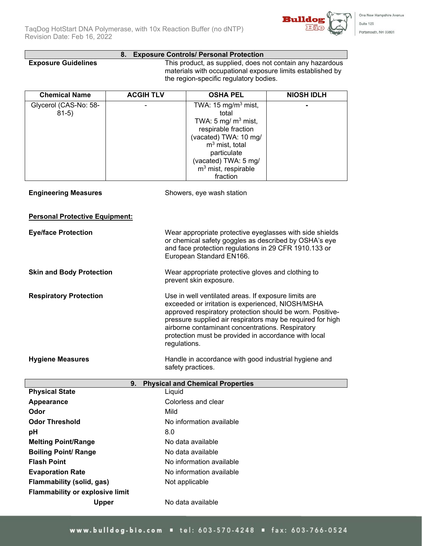

#### **8. Exposure Controls/ Personal Protection**

**Exposure Guidelines** This product, as supplied, does not contain any hazardous materials with occupational exposure limits established by the region-specific regulatory bodies.

| <b>Chemical Name</b>                                            | <b>ACGIH TLV</b> | <b>OSHA PEL</b>                                                                                                                                                                                                                                                                                                                                  | <b>NIOSH IDLH</b> |
|-----------------------------------------------------------------|------------------|--------------------------------------------------------------------------------------------------------------------------------------------------------------------------------------------------------------------------------------------------------------------------------------------------------------------------------------------------|-------------------|
| Glycerol (CAS-No: 58-<br>$81-5)$<br><b>Engineering Measures</b> |                  | TWA: 15 mg/m <sup>3</sup> mist,<br>total<br>TWA: 5 mg/ $m3$ mist,<br>respirable fraction<br>(vacated) TWA: 10 mg/<br>$m3$ mist, total<br>particulate<br>(vacated) TWA: 5 mg/<br>$m3$ mist, respirable<br>fraction<br>Showers, eye wash station                                                                                                   |                   |
| <b>Personal Protective Equipment:</b>                           |                  |                                                                                                                                                                                                                                                                                                                                                  |                   |
| <b>Eye/face Protection</b>                                      |                  | Wear appropriate protective eyeglasses with side shields<br>or chemical safety goggles as described by OSHA's eye<br>and face protection regulations in 29 CFR 1910.133 or<br>European Standard EN166.                                                                                                                                           |                   |
| <b>Skin and Body Protection</b>                                 |                  | Wear appropriate protective gloves and clothing to<br>prevent skin exposure.                                                                                                                                                                                                                                                                     |                   |
| <b>Respiratory Protection</b>                                   | regulations.     | Use in well ventilated areas. If exposure limits are<br>exceeded or irritation is experienced, NIOSH/MSHA<br>approved respiratory protection should be worn. Positive-<br>pressure supplied air respirators may be required for high<br>airborne contaminant concentrations. Respiratory<br>protection must be provided in accordance with local |                   |
| <b>Hygiene Measures</b>                                         |                  | Handle in accordance with good industrial hygiene and<br>safety practices.                                                                                                                                                                                                                                                                       |                   |
|                                                                 | 9.               | <b>Physical and Chemical Properties</b>                                                                                                                                                                                                                                                                                                          |                   |
| <b>Physical State</b>                                           | Liquid           |                                                                                                                                                                                                                                                                                                                                                  |                   |
| Appearance                                                      |                  | Colorless and clear                                                                                                                                                                                                                                                                                                                              |                   |
| Odor                                                            | Mild             |                                                                                                                                                                                                                                                                                                                                                  |                   |
| <b>Odor Threshold</b>                                           |                  | No information available                                                                                                                                                                                                                                                                                                                         |                   |
| pH                                                              | 8.0              | No data available                                                                                                                                                                                                                                                                                                                                |                   |
| <b>Melting Point/Range</b><br><b>Boiling Point/ Range</b>       |                  | No data available                                                                                                                                                                                                                                                                                                                                |                   |
| <b>Flash Point</b>                                              |                  | No information available                                                                                                                                                                                                                                                                                                                         |                   |
| <b>Evaporation Rate</b>                                         |                  | No information available                                                                                                                                                                                                                                                                                                                         |                   |

**Flammability (solid, gas)** Not applicable

**Upper** No data available

**Flammability or explosive limit**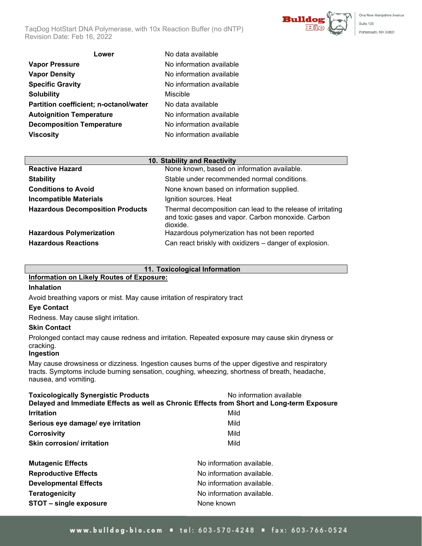

One New Hampshire Avenue Suite 125 Portsmouth, NH 03801

| No data available        |
|--------------------------|
| No information available |
| No information available |
| No information available |
| Miscible                 |
| No data available        |
| No information available |
| No information available |
| No information available |
|                          |

| No data available        |
|--------------------------|
| No information available |
| No information available |
| No information available |
| Miscible                 |
| No data available        |
| No information available |
| No information available |
|                          |
| No information available |

| 10. Stability and Reactivity            |                                                                                                                               |  |
|-----------------------------------------|-------------------------------------------------------------------------------------------------------------------------------|--|
| <b>Reactive Hazard</b>                  | None known, based on information available.                                                                                   |  |
| <b>Stability</b>                        | Stable under recommended normal conditions.                                                                                   |  |
| <b>Conditions to Avoid</b>              | None known based on information supplied.                                                                                     |  |
| <b>Incompatible Materials</b>           | Ignition sources. Heat                                                                                                        |  |
| <b>Hazardous Decomposition Products</b> | Thermal decomposition can lead to the release of irritating<br>and toxic gases and vapor. Carbon monoxide. Carbon<br>dioxide. |  |
| <b>Hazardous Polymerization</b>         | Hazardous polymerization has not been reported                                                                                |  |
| <b>Hazardous Reactions</b>              | Can react briskly with oxidizers - danger of explosion.                                                                       |  |

#### **11. Toxicological Information**

## **Information on Likely Routes of Exposure:**

#### **Inhalation**

Avoid breathing vapors or mist. May cause irritation of respiratory tract

#### **Eye Contact**

Redness. May cause slight irritation.

#### **Skin Contact**

Prolonged contact may cause redness and irritation. Repeated exposure may cause skin dryness or cracking.

#### **Ingestion**

May cause drowsiness or dizziness. Ingestion causes burns of the upper digestive and respiratory tracts. Symptoms include burning sensation, coughing, wheezing, shortness of breath, headache, nausea, and vomiting.

| <b>Toxicologically Synergistic Products</b>                                                | No information available  |  |  |
|--------------------------------------------------------------------------------------------|---------------------------|--|--|
| Delayed and Immediate Effects as well as Chronic Effects from Short and Long-term Exposure |                           |  |  |
| <b>Irritation</b>                                                                          | Mild                      |  |  |
| Serious eye damage/ eye irritation                                                         | Mild                      |  |  |
| <b>Corrosivity</b>                                                                         | Mild                      |  |  |
| Skin corrosion/ irritation                                                                 | Mild                      |  |  |
| <b>Mutagenic Effects</b>                                                                   | No information available. |  |  |
| <b>Reproductive Effects</b>                                                                | No information available. |  |  |
| <b>Developmental Effects</b>                                                               | No information available. |  |  |
| Teratogenicity                                                                             | No information available. |  |  |
| STOT - single exposure                                                                     | None known                |  |  |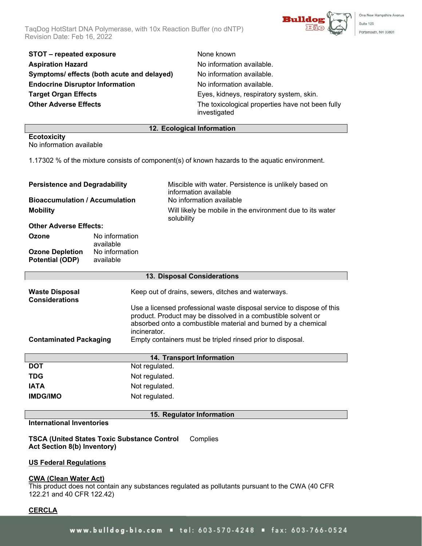TaqDog HotStart DNA Polymerase, with 10x Reaction Buffer (no dNTP) Revision Date: Feb 16, 2022



One New Hampshire Avenue Suite 125 Portsmouth, NH 03801

| STOT - repeated exposure                   |
|--------------------------------------------|
| <b>Aspiration Hazard</b>                   |
| Symptoms/ effects (both acute and delayed) |
| <b>Endocrine Disruptor Information</b>     |
| <b>Target Organ Effects</b>                |
| <b>Other Adverse Effects</b>               |
|                                            |

**None known** No information available. No information available. **No information available.** Eyes, kidneys, respiratory system, skin. The toxicological properties have not been fully investigated

#### **12. Ecological Information**

**Ecotoxicity** No information available

1.17302 % of the mixture consists of component(s) of known hazards to the aquatic environment.

| <b>Persistence and Degradability</b>             |                             | Miscible with water. Persistence is unlikely based on<br>information available |
|--------------------------------------------------|-----------------------------|--------------------------------------------------------------------------------|
| <b>Bioaccumulation / Accumulation</b>            |                             | No information available                                                       |
| <b>Mobility</b>                                  |                             | Will likely be mobile in the environment due to its water<br>solubility        |
| <b>Other Adverse Effects:</b>                    |                             |                                                                                |
| Ozone                                            | No information<br>available |                                                                                |
| <b>Ozone Depletion</b><br><b>Potential (ODP)</b> | No information<br>available |                                                                                |

| 13. Disposal Considerations                    |                                                                                                                                                                                                                         |  |
|------------------------------------------------|-------------------------------------------------------------------------------------------------------------------------------------------------------------------------------------------------------------------------|--|
| <b>Waste Disposal</b><br><b>Considerations</b> | Keep out of drains, sewers, ditches and waterways.                                                                                                                                                                      |  |
|                                                | Use a licensed professional waste disposal service to dispose of this<br>product. Product may be dissolved in a combustible solvent or<br>absorbed onto a combustible material and burned by a chemical<br>incinerator. |  |
| <b>Contaminated Packaging</b>                  | Empty containers must be tripled rinsed prior to disposal.                                                                                                                                                              |  |
| $\cdots$                                       |                                                                                                                                                                                                                         |  |

| 14. Transport Information |                |  |
|---------------------------|----------------|--|
| <b>DOT</b>                | Not regulated. |  |
| <b>TDG</b>                | Not regulated. |  |
| <b>IATA</b>               | Not regulated. |  |
| <b>IMDG/IMO</b>           | Not regulated. |  |

#### **15. Regulator Information**

**International Inventories**

**TSCA (United States Toxic Substance Control Act Section 8(b) Inventory) Complies** 

#### **US Federal Regulations**

#### **CWA (Clean Water Act)**

This product does not contain any substances regulated as pollutants pursuant to the CWA (40 CFR 122.21 and 40 CFR 122.42)

## **CERCLA**